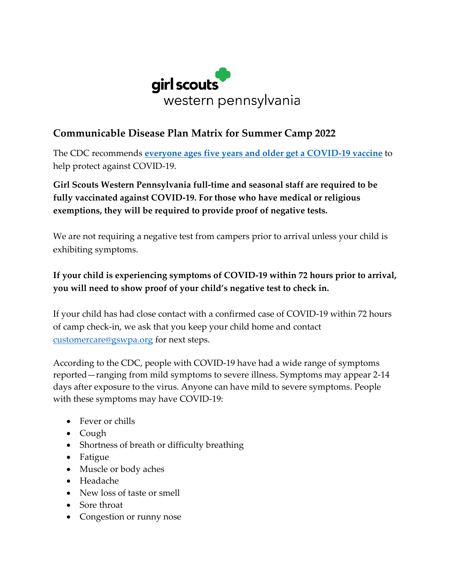

## **Communicable Disease Plan Matrix for Summer Camp 2022**

The CDC recommends **everyone ages five years and older get a COVID-19 vaccine** to help protect against COVID-19.

**Girl Scouts Western Pennsylvania full-time and seasonal staff are required to be fully vaccinated against COVID-19. For those who have medical or religious exemptions, they will be required to provide proof of negative tests.**

We are not requiring a negative test from campers prior to arrival unless your child is exhibiting symptoms.

## **If your child is experiencing symptoms of COVID-19 within 72 hours prior to arrival, you will need to show proof of your child's negative test to check in.**

If your child has had close contact with a confirmed case of COVID-19 within 72 hours of camp check-in, we ask that you keep your child home and contact customercare@gswpa.org for next steps.

According to the CDC, people with COVID-19 have had a wide range of symptoms reported—ranging from mild symptoms to severe illness. Symptoms may appear 2-14 days after exposure to the virus. Anyone can have mild to severe symptoms. People with these symptoms may have COVID-19:

- Fever or chills
- Cough
- Shortness of breath or difficulty breathing
- Fatigue
- Muscle or body aches
- Headache
- New loss of taste or smell
- Sore throat
- Congestion or runny nose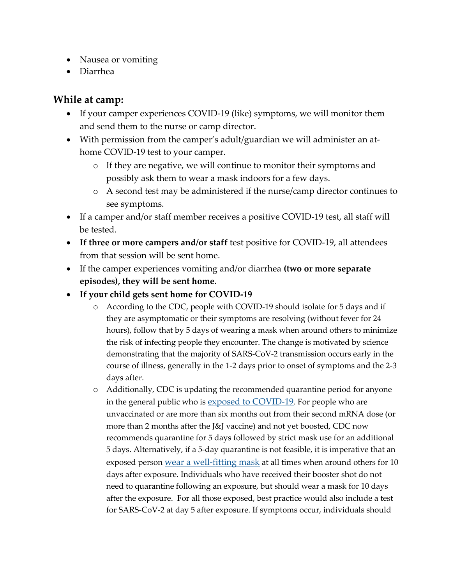- Nausea or vomiting
- Diarrhea

## **While at camp:**

- If your camper experiences COVID-19 (like) symptoms, we will monitor them and send them to the nurse or camp director.
- With permission from the camper's adult/guardian we will administer an athome COVID-19 test to your camper.
	- o If they are negative, we will continue to monitor their symptoms and possibly ask them to wear a mask indoors for a few days.
	- o A second test may be administered if the nurse/camp director continues to see symptoms.
- If a camper and/or staff member receives a positive COVID-19 test, all staff will be tested.
- **If three or more campers and/or staff** test positive for COVID-19, all attendees from that session will be sent home.
- If the camper experiences vomiting and/or diarrhea **(two or more separate episodes), they will be sent home.**
- **If your child gets sent home for COVID-19**
	- o According to the CDC, people with COVID-19 should isolate for 5 days and if they are asymptomatic or their symptoms are resolving (without fever for 24 hours), follow that by 5 days of wearing a mask when around others to minimize the risk of infecting people they encounter. The change is motivated by science demonstrating that the majority of SARS-CoV-2 transmission occurs early in the course of illness, generally in the 1-2 days prior to onset of symptoms and the 2-3 days after.
	- o Additionally, CDC is updating the recommended quarantine period for anyone in the general public who is [exposed to COVID-19](https://www.cdc.gov/coronavirus/2019-ncov/your-health/quarantine-isolation.html#closecontact). For people who are unvaccinated or are more than six months out from their second mRNA dose (or more than 2 months after the J&J vaccine) and not yet boosted, CDC now recommends quarantine for 5 days followed by strict mask use for an additional 5 days. Alternatively, if a 5-day quarantine is not feasible, it is imperative that an exposed person [wear a well-fitting mask](https://www.cdc.gov/coronavirus/2019-ncov/your-health/effective-masks.html) at all times when around others for 10 days after exposure. Individuals who have received their booster shot do not need to quarantine following an exposure, but should wear a mask for 10 days after the exposure. For all those exposed, best practice would also include a test for SARS-CoV-2 at day 5 after exposure. If symptoms occur, individuals should